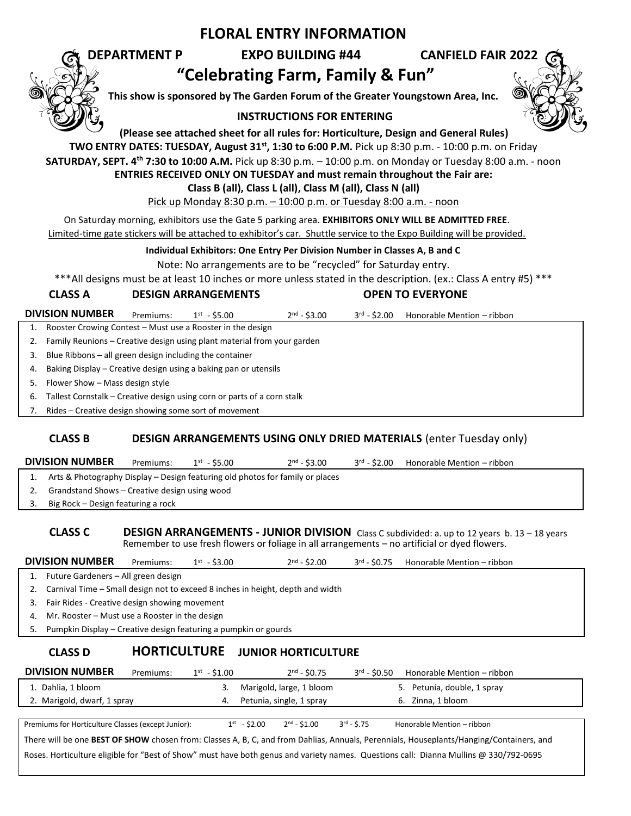## **FLORAL ENTRY INFORMATION**

# **DEPARTMENT P EXPO BUILDING #44 CANFIELD FAIR 2022 "Celebrating Farm, Family & Fun"**

**This show is sponsored by The Garden Forum of the Greater Youngstown Area, Inc.**

### **INSTRUCTIONS FOR ENTERING**



**(Please see attached sheet for all rules for: Horticulture, Design and General Rules)**

**TWO ENTRY DATES: TUESDAY, August 31st, 1:30 to 6:00 P.M.** Pick up 8:30 p.m. - 10:00 p.m. on Friday

**SATURDAY, SEPT. 4 th 7:30 to 10:00 A.M.** Pick up 8:30 p.m. – 10:00 p.m. on Monday or Tuesday 8:00 a.m. - noon

**ENTRIES RECEIVED ONLY ON TUESDAY and must remain throughout the Fair are:** 

**Class B (all), Class L (all), Class M (all), Class N (all)**

Pick up Monday 8:30 p.m. – 10:00 p.m. or Tuesday 8:00 a.m. - noon

On Saturday morning, exhibitors use the Gate 5 parking area. **EXHIBITORS ONLY WILL BE ADMITTED FREE**.

Limited-time gate stickers will be attached to exhibitor's car. Shuttle service to the Expo Building will be provided.

**Individual Exhibitors: One Entry Per Division Number in Classes A, B and C**

Note: No arrangements are to be "recycled" for Saturday entry.

\*\*\*All designs must be at least 10 inches or more unless stated in the description. (ex.: Class A entry #5) \*\*\*

### **CLASS A DESIGN ARRANGEMENTS OPEN TO EVERYONE**

**DIVISION NUMBER** Premiums:  $1^{st} - $5.00$  $2<sup>nd</sup> - $3.00$  $3<sup>rd</sup> - $2.00$  Honorable Mention – ribbon

1. Rooster Crowing Contest – Must use a Rooster in the design

- 2. Family Reunions Creative design using plant material from your garden
- 3. Blue Ribbons all green design including the container

4. Baking Display – Creative design using a baking pan or utensils

5. Flower Show – Mass design style

6. Tallest Cornstalk – Creative design using corn or parts of a corn stalk

7. Rides – Creative design showing some sort of movement

### **CLASS B DESIGN ARRANGEMENTS USING ONLY DRIED MATERIALS** (enter Tuesday only)

**DIVISION NUMBER** Premiums:  $1^{st} - $5.00$ 

1. Arts & Photography Display – Design featuring old photos for family or places

- 2. Grandstand Shows Creative design using wood
- 3. Big Rock Design featuring a rock

#### **CLASS C DESIGN ARRANGEMENTS - JUNIOR DIVISION** Class C subdivided: a. up to 12 years b. 13 – 18 years Remember to use fresh flowers or foliage in all arrangements – no artificial or dyed flowers.

 $2^{nd} - $3.00$   $3^{rd} - $2.00$ 

Honorable Mention – ribbon

| <b>DIVISION NUMBER</b> | Premiums: | 1 st<br>.3.00<br><b>. .</b> | ን nd<br>\$2.00 | \$0.75<br>⊃rd | ribbon <sup>.</sup><br>Honorable Mention $-$ . |
|------------------------|-----------|-----------------------------|----------------|---------------|------------------------------------------------|
|------------------------|-----------|-----------------------------|----------------|---------------|------------------------------------------------|

1. Future Gardeners – All green design

2. Carnival Time – Small design not to exceed 8 inches in height, depth and width

3. Fair Rides - Creative design showing movement

4. Mr. Rooster – Must use a Rooster in the design

5. Pumpkin Display – Creative design featuring a pumpkin or gourds

| <b>CLASS D</b>                                                                                                                          | <b>HORTICULTURE</b> |                  |                  | <b>JUNIOR HORTICULTURE</b> |                        |                             |
|-----------------------------------------------------------------------------------------------------------------------------------------|---------------------|------------------|------------------|----------------------------|------------------------|-----------------------------|
| <b>DIVISION NUMBER</b>                                                                                                                  | Premiums:           | $1^{st} - $1.00$ |                  | $2nd - $0.75$              | $3^{rd} - $0.50$       | Honorable Mention - ribbon  |
| 1. Dahlia, 1 bloom                                                                                                                      |                     |                  |                  | Marigold, large, 1 bloom   |                        | 5. Petunia, double, 1 spray |
| 2. Marigold, dwarf, 1 spray                                                                                                             |                     | 4.               |                  | Petunia, single, 1 spray   |                        | 6. Zinna, 1 bloom           |
|                                                                                                                                         |                     |                  |                  |                            |                        |                             |
| Premiums for Horticulture Classes (except Junior):                                                                                      |                     |                  | $1^{st} - $2.00$ | $2nd - 51.00$              | $3^{\text{rd}} - 5.75$ | Honorable Mention - ribbon  |
| There will be one BEST OF SHOW chosen from: Classes A, B, C, and from Dahlias, Annuals, Perennials, Houseplants/Hanging/Containers, and |                     |                  |                  |                            |                        |                             |

Roses. Horticulture eligible for "Best of Show" must have both genus and variety names. Questions call: Dianna Mullins @ 330/792-0695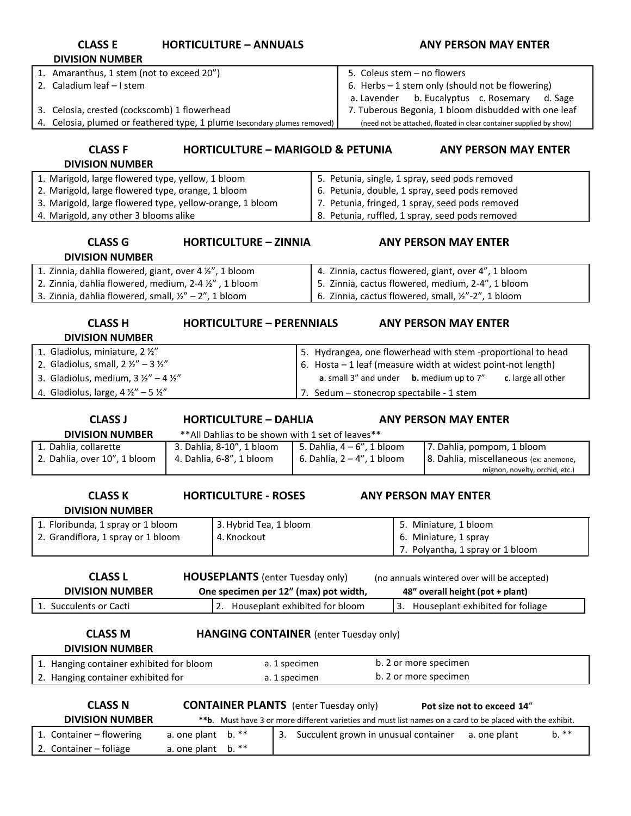| <b>CLASS E</b><br><b>DIVISION NUMBER</b>                                                                                                                                                                        | <b>HORTICULTURE - ANNUALS</b>                                                  | <b>ANY PERSON MAY ENTER</b>                                                                                                                                                                 |  |  |  |  |  |  |
|-----------------------------------------------------------------------------------------------------------------------------------------------------------------------------------------------------------------|--------------------------------------------------------------------------------|---------------------------------------------------------------------------------------------------------------------------------------------------------------------------------------------|--|--|--|--|--|--|
| 1. Amaranthus, 1 stem (not to exceed 20")<br>2. Caladium leaf - I stem<br>3. Celosia, crested (cockscomb) 1 flowerhead                                                                                          |                                                                                | 5. Coleus stem - no flowers<br>6. Herbs - 1 stem only (should not be flowering)<br>b. Eucalyptus c. Rosemary d. Sage<br>a. Lavender<br>7. Tuberous Begonia, 1 bloom disbudded with one leaf |  |  |  |  |  |  |
|                                                                                                                                                                                                                 | Celosia, plumed or feathered type, 1 plume (secondary plumes removed)          | (need not be attached, floated in clear container supplied by show)                                                                                                                         |  |  |  |  |  |  |
| <b>CLASS F</b><br><b>DIVISION NUMBER</b>                                                                                                                                                                        | <b>HORTICULTURE - MARIGOLD &amp; PETUNIA</b><br><b>ANY PERSON MAY ENTER</b>    |                                                                                                                                                                                             |  |  |  |  |  |  |
| 1. Marigold, large flowered type, yellow, 1 bloom                                                                                                                                                               |                                                                                | 5. Petunia, single, 1 spray, seed pods removed                                                                                                                                              |  |  |  |  |  |  |
| 2. Marigold, large flowered type, orange, 1 bloom                                                                                                                                                               |                                                                                | 6. Petunia, double, 1 spray, seed pods removed                                                                                                                                              |  |  |  |  |  |  |
| 3. Marigold, large flowered type, yellow-orange, 1 bloom                                                                                                                                                        |                                                                                | 7. Petunia, fringed, 1 spray, seed pods removed                                                                                                                                             |  |  |  |  |  |  |
| 4. Marigold, any other 3 blooms alike                                                                                                                                                                           |                                                                                | 8. Petunia, ruffled, 1 spray, seed pods removed                                                                                                                                             |  |  |  |  |  |  |
| <b>CLASS G</b><br><b>HORTICULTURE - ZINNIA</b><br><b>ANY PERSON MAY ENTER</b><br><b>DIVISION NUMBER</b>                                                                                                         |                                                                                |                                                                                                                                                                                             |  |  |  |  |  |  |
| 1. Zinnia, dahlia flowered, giant, over 4 1/2", 1 bloom                                                                                                                                                         |                                                                                | 4. Zinnia, cactus flowered, giant, over 4", 1 bloom                                                                                                                                         |  |  |  |  |  |  |
| 2. Zinnia, dahlia flowered, medium, 2-4 1/2", 1 bloom                                                                                                                                                           |                                                                                | 5. Zinnia, cactus flowered, medium, 2-4", 1 bloom                                                                                                                                           |  |  |  |  |  |  |
| 3. Zinnia, dahlia flowered, small, $\frac{1}{2}$ " – 2", 1 bloom                                                                                                                                                |                                                                                | 6. Zinnia, cactus flowered, small, 1/2"-2", 1 bloom                                                                                                                                         |  |  |  |  |  |  |
| <b>CLASS H</b><br><b>HORTICULTURE - PERENNIALS</b><br><b>ANY PERSON MAY ENTER</b><br><b>DIVISION NUMBER</b>                                                                                                     |                                                                                |                                                                                                                                                                                             |  |  |  |  |  |  |
| 1. Gladiolus, miniature, 2 1/2"                                                                                                                                                                                 |                                                                                | 5. Hydrangea, one flowerhead with stem -proportional to head                                                                                                                                |  |  |  |  |  |  |
| 2. Gladiolus, small, $2 \frac{1}{2}$ – $3 \frac{1}{2}$                                                                                                                                                          |                                                                                | 6. Hosta - 1 leaf (measure width at widest point-not length)                                                                                                                                |  |  |  |  |  |  |
| 3. Gladiolus, medium, $3\frac{1}{2} - 4\frac{1}{2}$                                                                                                                                                             |                                                                                | a. small 3" and under b. medium up to 7"<br>c. large all other                                                                                                                              |  |  |  |  |  |  |
| 4. Gladiolus, large, $4 \frac{1}{2}$ " – 5 $\frac{1}{2}$ "                                                                                                                                                      |                                                                                | 7. Sedum - stonecrop spectabile - 1 stem                                                                                                                                                    |  |  |  |  |  |  |
| <b>CLASS J</b>                                                                                                                                                                                                  | <b>HORTICULTURE - DAHLIA</b>                                                   | <b>ANY PERSON MAY ENTER</b>                                                                                                                                                                 |  |  |  |  |  |  |
| <b>DIVISION NUMBER</b><br>1. Dahlia, collarette                                                                                                                                                                 | ** All Dahlias to be shown with 1 set of leaves**<br>3. Dahlia, 8-10", 1 bloom | 5. Dahlia, $4-6$ ", 1 bloom<br>7. Dahlia, pompom, 1 bloom                                                                                                                                   |  |  |  |  |  |  |
| 2. Dahlia, over 10", 1 bloom                                                                                                                                                                                    | 4. Dahlia, 6-8", 1 bloom                                                       | 8. Dahlia, miscellaneous (ex: anemone,<br>6. Dahlia, $2 - 4$ ", 1 bloom<br>mignon, novelty, orchid, etc.)                                                                                   |  |  |  |  |  |  |
| <b>CLASS K</b><br><b>DIVISION NUMBER</b>                                                                                                                                                                        | <b>HORTICULTURE - ROSES</b><br><b>ANY PERSON MAY ENTER</b>                     |                                                                                                                                                                                             |  |  |  |  |  |  |
| 1. Floribunda, 1 spray or 1 bloom                                                                                                                                                                               | 3. Hybrid Tea, 1 bloom                                                         | 5. Miniature, 1 bloom                                                                                                                                                                       |  |  |  |  |  |  |
| 2. Grandiflora, 1 spray or 1 bloom                                                                                                                                                                              | 4. Knockout                                                                    | 6. Miniature, 1 spray                                                                                                                                                                       |  |  |  |  |  |  |
|                                                                                                                                                                                                                 |                                                                                | 7. Polyantha, 1 spray or 1 bloom                                                                                                                                                            |  |  |  |  |  |  |
| <b>CLASS L</b><br><b>HOUSEPLANTS</b> (enter Tuesday only)<br>(no annuals wintered over will be accepted)<br><b>DIVISION NUMBER</b><br>One specimen per 12" (max) pot width,<br>48" overall height (pot + plant) |                                                                                |                                                                                                                                                                                             |  |  |  |  |  |  |
| 1. Succulents or Cacti                                                                                                                                                                                          | 2.                                                                             | 3. Houseplant exhibited for foliage<br>Houseplant exhibited for bloom                                                                                                                       |  |  |  |  |  |  |
|                                                                                                                                                                                                                 |                                                                                |                                                                                                                                                                                             |  |  |  |  |  |  |
| <b>CLASS M</b>                                                                                                                                                                                                  |                                                                                | <b>HANGING CONTAINER</b> (enter Tuesday only)                                                                                                                                               |  |  |  |  |  |  |
| <b>DIVISION NUMBER</b>                                                                                                                                                                                          |                                                                                |                                                                                                                                                                                             |  |  |  |  |  |  |
| b. 2 or more specimen<br>1. Hanging container exhibited for bloom<br>a. 1 specimen                                                                                                                              |                                                                                |                                                                                                                                                                                             |  |  |  |  |  |  |
| b. 2 or more specimen<br>2. Hanging container exhibited for<br>a. 1 specimen                                                                                                                                    |                                                                                |                                                                                                                                                                                             |  |  |  |  |  |  |
| <b>CLASS N</b><br><b>CONTAINER PLANTS</b> (enter Tuesday only)<br>Pot size not to exceed 14"                                                                                                                    |                                                                                |                                                                                                                                                                                             |  |  |  |  |  |  |
| <b>DIVISION NUMBER</b>                                                                                                                                                                                          |                                                                                | ** b. Must have 3 or more different varieties and must list names on a card to be placed with the exhibit.                                                                                  |  |  |  |  |  |  |
| 1. Container - flowering                                                                                                                                                                                        | a. one plant<br>$b.***$<br>3.                                                  | $b.***$<br>Succulent grown in unusual container<br>a. one plant                                                                                                                             |  |  |  |  |  |  |
| 2. Container - foliage                                                                                                                                                                                          | a. one plant<br>$b.***$                                                        |                                                                                                                                                                                             |  |  |  |  |  |  |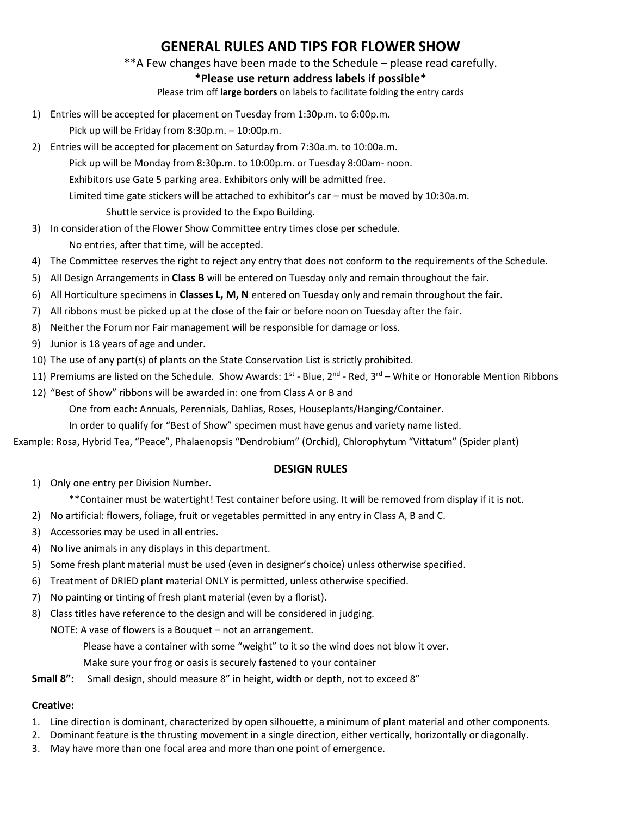# **GENERAL RULES AND TIPS FOR FLOWER SHOW**

\*\*A Few changes have been made to the Schedule – please read carefully.

### **\*Please use return address labels if possible\***

Please trim off **large borders** on labels to facilitate folding the entry cards

1) Entries will be accepted for placement on Tuesday from 1:30p.m. to 6:00p.m.

Pick up will be Friday from 8:30p.m. – 10:00p.m.

- 2) Entries will be accepted for placement on Saturday from 7:30a.m. to 10:00a.m. Pick up will be Monday from 8:30p.m. to 10:00p.m. or Tuesday 8:00am- noon. Exhibitors use Gate 5 parking area. Exhibitors only will be admitted free. Limited time gate stickers will be attached to exhibitor's car – must be moved by 10:30a.m. Shuttle service is provided to the Expo Building.
- 3) In consideration of the Flower Show Committee entry times close per schedule. No entries, after that time, will be accepted.
- 4) The Committee reserves the right to reject any entry that does not conform to the requirements of the Schedule.
- 5) All Design Arrangements in **Class B** will be entered on Tuesday only and remain throughout the fair.
- 6) All Horticulture specimens in **Classes L, M, N** entered on Tuesday only and remain throughout the fair.
- 7) All ribbons must be picked up at the close of the fair or before noon on Tuesday after the fair.
- 8) Neither the Forum nor Fair management will be responsible for damage or loss.
- 9) Junior is 18 years of age and under.
- 10) The use of any part(s) of plants on the State Conservation List is strictly prohibited.
- 11) Premiums are listed on the Schedule. Show Awards: 1<sup>st</sup> Blue, 2<sup>nd</sup> Red, 3<sup>rd</sup> White or Honorable Mention Ribbons
- 12) "Best of Show" ribbons will be awarded in: one from Class A or B and

One from each: Annuals, Perennials, Dahlias, Roses, Houseplants/Hanging/Container.

In order to qualify for "Best of Show" specimen must have genus and variety name listed.

Example: Rosa, Hybrid Tea, "Peace", Phalaenopsis "Dendrobium" (Orchid), Chlorophytum "Vittatum" (Spider plant)

#### **DESIGN RULES**

1) Only one entry per Division Number.

\*\*Container must be watertight! Test container before using. It will be removed from display if it is not.

- 2) No artificial: flowers, foliage, fruit or vegetables permitted in any entry in Class A, B and C.
- 3) Accessories may be used in all entries.
- 4) No live animals in any displays in this department.
- 5) Some fresh plant material must be used (even in designer's choice) unless otherwise specified.
- 6) Treatment of DRIED plant material ONLY is permitted, unless otherwise specified.
- 7) No painting or tinting of fresh plant material (even by a florist).
- 8) Class titles have reference to the design and will be considered in judging.

NOTE: A vase of flowers is a Bouquet – not an arrangement.

Please have a container with some "weight" to it so the wind does not blow it over.

Make sure your frog or oasis is securely fastened to your container

**Small 8":** Small design, should measure 8" in height, width or depth, not to exceed 8"

### **Creative:**

- 1. Line direction is dominant, characterized by open silhouette, a minimum of plant material and other components.
- 2. Dominant feature is the thrusting movement in a single direction, either vertically, horizontally or diagonally.
- 3. May have more than one focal area and more than one point of emergence.